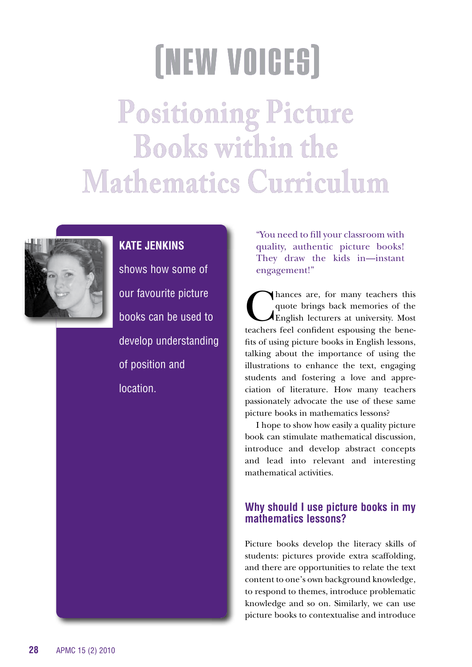# **[NEW VOICES]**

**Positioning Picture Books within the Mathematics Curriculum**



# **KATE JENKINS**

shows how some of our favourite picture books can be used to develop understanding of position and **location** 

"You need to fill your classroom with quality, authentic picture books! They draw the kids in—instant engagement!"

Chances are, for many teachers this<br>quote brings back memories of the<br>English lecturers at university. Most quote brings back memories of the English lecturers at university. Most teachers feel confident espousing the benefits of using picture books in English lessons, talking about the importance of using the illustrations to enhance the text, engaging students and fostering a love and appreciation of literature. How many teachers passionately advocate the use of these same picture books in mathematics lessons?

I hope to show how easily a quality picture book can stimulate mathematical discussion, introduce and develop abstract concepts and lead into relevant and interesting mathematical activities.

# **Why should I use picture books in my mathematics lessons?**

Picture books develop the literacy skills of students: pictures provide extra scaffolding, and there are opportunities to relate the text content to one's own background knowledge, to respond to themes, introduce problematic knowledge and so on. Similarly, we can use picture books to contextualise and introduce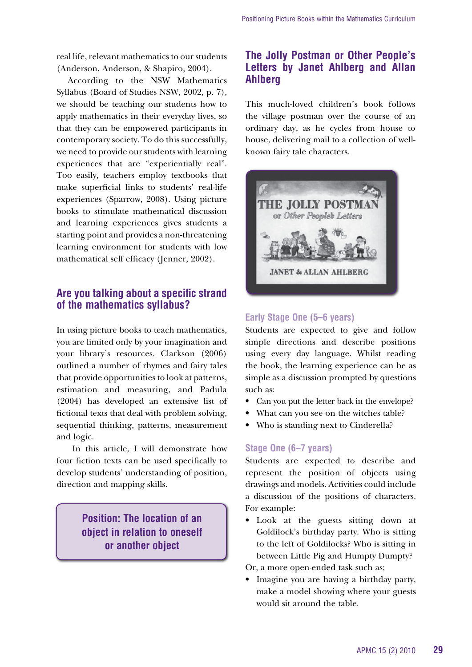real life, relevant mathematics to our students (Anderson, Anderson, & Shapiro, 2004).

According to the NSW Mathematics Syllabus (Board of Studies NSW, 2002, p. 7), we should be teaching our students how to apply mathematics in their everyday lives, so that they can be empowered participants in contemporary society. To do this successfully, we need to provide our students with learning experiences that are "experientially real". Too easily, teachers employ textbooks that make superficial links to students' real-life experiences (Sparrow, 2008). Using picture books to stimulate mathematical discussion and learning experiences gives students a starting point and provides a non-threatening learning environment for students with low mathematical self efficacy (Jenner, 2002).

# **Are you talking about a specific strand of the mathematics syllabus?**

In using picture books to teach mathematics, you are limited only by your imagination and your library's resources. Clarkson (2006) outlined a number of rhymes and fairy tales that provide opportunities to look at patterns, estimation and measuring, and Padula (2004) has developed an extensive list of fictional texts that deal with problem solving, sequential thinking, patterns, measurement and logic.

 In this article, I will demonstrate how four fiction texts can be used specifically to develop students' understanding of position, direction and mapping skills.

> **Position: The location of an object in relation to oneself or another object**

## **The Jolly Postman or Other People's letters by Janet Ahlberg and Allan Ahlberg**

This much-loved children's book follows the village postman over the course of an ordinary day, as he cycles from house to house, delivering mail to a collection of wellknown fairy tale characters.



## **Early Stage One (5–6 years)**

Students are expected to give and follow simple directions and describe positions using every day language. Whilst reading the book, the learning experience can be as simple as a discussion prompted by questions such as:

- Can you put the letter back in the envelope?
- What can you see on the witches table?
- Who is standing next to Cinderella?

### **Stage One (6–7 years)**

Students are expected to describe and represent the position of objects using drawings and models. Activities could include a discussion of the positions of characters. For example:

• Look at the guests sitting down at Goldilock's birthday party. Who is sitting to the left of Goldilocks? Who is sitting in between Little Pig and Humpty Dumpty?

Or, a more open-ended task such as;

• Imagine you are having a birthday party, make a model showing where your guests would sit around the table.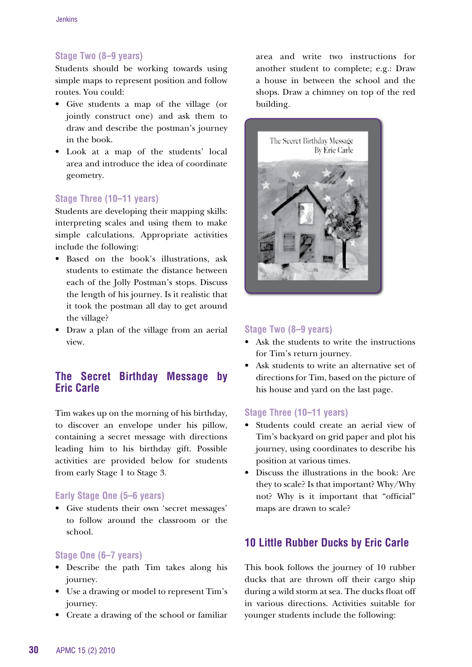## **Stage Two (8–9 years)**

Students should be working towards using simple maps to represent position and follow routes. You could:

- • Give students a map of the village (or jointly construct one) and ask them to draw and describe the postman's journey in the book.
- • Look at a map of the students' local area and introduce the idea of coordinate geometry.

## **Stage Three (10–11 years)**

Students are developing their mapping skills: interpreting scales and using them to make simple calculations. Appropriate activities include the following:

- • Based on the book's illustrations, ask students to estimate the distance between each of the Jolly Postman's stops. Discuss the length of his journey. Is it realistic that it took the postman all day to get around the village?
- • Draw a plan of the village from an aerial view.

## **The Secret Birthday Message by Eric Carle**

Tim wakes up on the morning of his birthday, to discover an envelope under his pillow, containing a secret message with directions leading him to his birthday gift. Possible activities are provided below for students from early Stage 1 to Stage 3.

### **Early Stage One (5–6 years)**

• Give students their own 'secret messages' to follow around the classroom or the school.

#### **Stage One (6–7 years)**

- • Describe the path Tim takes along his journey.
- Use a drawing or model to represent Tim's journey.
- • Create a drawing of the school or familiar

area and write two instructions for another student to complete; e.g.: Draw a house in between the school and the shops. Draw a chimney on top of the red building.



### **Stage Two (8–9 years)**

- Ask the students to write the instructions for Tim's return journey.
- • Ask students to write an alternative set of directions for Tim, based on the picture of his house and yard on the last page.

#### **Stage Three (10–11 years)**

- Students could create an aerial view of Tim's backyard on grid paper and plot his journey, using coordinates to describe his position at various times.
- • Discuss the illustrations in the book: Are they to scale? Is that important? Why/Why not? Why is it important that "official" maps are drawn to scale?

# **10 little Rubber Ducks by Eric Carle**

This book follows the journey of 10 rubber ducks that are thrown off their cargo ship during a wild storm at sea. The ducks float off in various directions. Activities suitable for younger students include the following: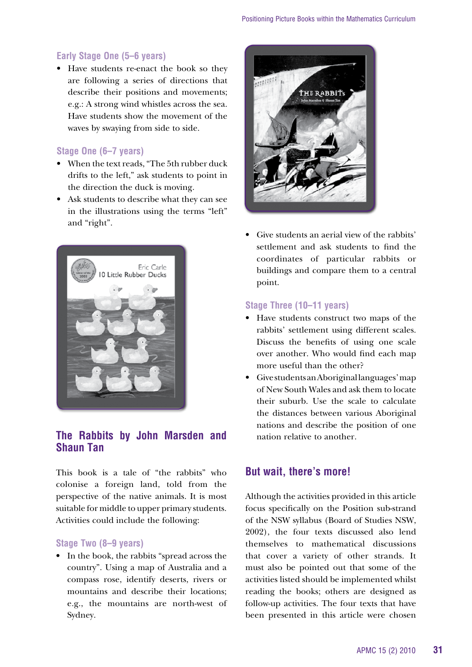## **Early Stage One (5–6 years)**

• Have students re-enact the book so they are following a series of directions that describe their positions and movements; e.g.: A strong wind whistles across the sea. Have students show the movement of the waves by swaying from side to side.

## **Stage One (6–7 years)**

- When the text reads, "The 5th rubber duck drifts to the left," ask students to point in the direction the duck is moving.
- • Ask students to describe what they can see in the illustrations using the terms "left" and "right".



## **The Rabbits by John Marsden and Shaun Tan**

This book is a tale of "the rabbits" who colonise a foreign land, told from the perspective of the native animals. It is most suitable for middle to upper primary students. Activities could include the following:

#### **Stage Two (8–9 years)**

• In the book, the rabbits "spread across the country". Using a map of Australia and a compass rose, identify deserts, rivers or mountains and describe their locations; e.g., the mountains are north-west of Sydney.



• Give students an aerial view of the rabbits' settlement and ask students to find the coordinates of particular rabbits or buildings and compare them to a central point.

#### **Stage Three (10–11 years)**

- • Have students construct two maps of the rabbits' settlement using different scales. Discuss the benefits of using one scale over another. Who would find each map more useful than the other?
- • Give students an Aboriginal languages' map of New South Wales and ask them to locate their suburb. Use the scale to calculate the distances between various Aboriginal nations and describe the position of one nation relative to another.

## **But wait, there's more!**

Although the activities provided in this article focus specifically on the Position sub-strand of the NSW syllabus (Board of Studies NSW, 2002), the four texts discussed also lend themselves to mathematical discussions that cover a variety of other strands. It must also be pointed out that some of the activities listed should be implemented whilst reading the books; others are designed as follow-up activities. The four texts that have been presented in this article were chosen